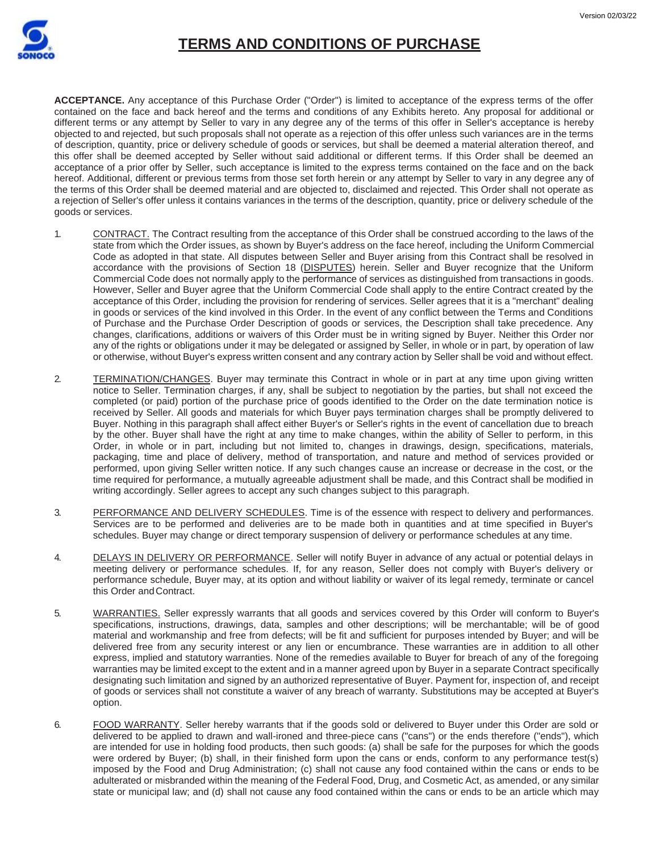

**ACCEPTANCE.** Any acceptance of this Purchase Order ("Order") is limited to acceptance of the express terms of the offer contained on the face and back hereof and the terms and conditions of any Exhibits hereto. Any proposal for additional or different terms or any attempt by Seller to vary in any degree any of the terms of this offer in Seller's acceptance is hereby objected to and rejected, but such proposals shall not operate as a rejection of this offer unless such variances are in the terms of description, quantity, price or delivery schedule of goods or services, but shall be deemed a material alteration thereof, and this offer shall be deemed accepted by Seller without said additional or different terms. If this Order shall be deemed an acceptance of a prior offer by Seller, such acceptance is limited to the express terms contained on the face and on the back hereof. Additional, different or previous terms from those set forth herein or any attempt by Seller to vary in any degree any of the terms of this Order shall be deemed material and are objected to, disclaimed and rejected. This Order shall not operate as a rejection of Seller's offer unless it contains variances in the terms of the description, quantity, price or delivery schedule of the goods or services.

- 1. CONTRACT. The Contract resulting from the acceptance of this Order shall be construed according to the laws of the state from which the Order issues, as shown by Buyer's address on the face hereof, including the Uniform Commercial Code as adopted in that state. All disputes between Seller and Buyer arising from this Contract shall be resolved in accordance with the provisions of Section 18 (DISPUTES) herein. Seller and Buyer recognize that the Uniform Commercial Code does not normally apply to the performance of services as distinguished from transactions in goods. However, Seller and Buyer agree that the Uniform Commercial Code shall apply to the entire Contract created by the acceptance of this Order, including the provision for rendering of services. Seller agrees that it is a "merchant" dealing in goods or services of the kind involved in this Order. In the event of any conflict between the Terms and Conditions of Purchase and the Purchase Order Description of goods or services, the Description shall take precedence. Any changes, clarifications, additions or waivers of this Order must be in writing signed by Buyer. Neither this Order nor any of the rights or obligations under it may be delegated or assigned by Seller, in whole or in part, by operation of law or otherwise, without Buyer's express written consent and any contrary action by Seller shall be void and without effect.
- 2. TERMINATION/CHANGES. Buyer may terminate this Contract in whole or in part at any time upon giving written notice to Seller. Termination charges, if any, shall be subject to negotiation by the parties, but shall not exceed the completed (or paid) portion of the purchase price of goods identified to the Order on the date termination notice is received by Seller. All goods and materials for which Buyer pays termination charges shall be promptly delivered to Buyer. Nothing in this paragraph shall affect either Buyer's or Seller's rights in the event of cancellation due to breach by the other. Buyer shall have the right at any time to make changes, within the ability of Seller to perform, in this Order, in whole or in part, including but not limited to, changes in drawings, design, specifications, materials, packaging, time and place of delivery, method of transportation, and nature and method of services provided or performed, upon giving Seller written notice. If any such changes cause an increase or decrease in the cost, or the time required for performance, a mutually agreeable adjustment shall be made, and this Contract shall be modified in writing accordingly. Seller agrees to accept any such changes subject to this paragraph.
- 3. PERFORMANCE AND DELIVERY SCHEDULES. Time is of the essence with respect to delivery and performances. Services are to be performed and deliveries are to be made both in quantities and at time specified in Buyer's schedules. Buyer may change or direct temporary suspension of delivery or performance schedules at any time.
- 4. DELAYS IN DELIVERY OR PERFORMANCE. Seller will notify Buyer in advance of any actual or potential delays in meeting delivery or performance schedules. If, for any reason, Seller does not comply with Buyer's delivery or performance schedule, Buyer may, at its option and without liability or waiver of its legal remedy, terminate or cancel this Order andContract.
- 5. WARRANTIES. Seller expressly warrants that all goods and services covered by this Order will conform to Buyer's specifications, instructions, drawings, data, samples and other descriptions; will be merchantable; will be of good material and workmanship and free from defects; will be fit and sufficient for purposes intended by Buyer; and will be delivered free from any security interest or any lien or encumbrance. These warranties are in addition to all other express, implied and statutory warranties. None of the remedies available to Buyer for breach of any of the foregoing warranties may be limited except to the extent and in a manner agreed upon by Buyer in a separate Contract specifically designating such limitation and signed by an authorized representative of Buyer. Payment for, inspection of, and receipt of goods or services shall not constitute a waiver of any breach of warranty. Substitutions may be accepted at Buyer's option.
- 6. FOOD WARRANTY. Seller hereby warrants that if the goods sold or delivered to Buyer under this Order are sold or delivered to be applied to drawn and wall-ironed and three-piece cans ("cans") or the ends therefore ("ends"), which are intended for use in holding food products, then such goods: (a) shall be safe for the purposes for which the goods were ordered by Buyer; (b) shall, in their finished form upon the cans or ends, conform to any performance test(s) imposed by the Food and Drug Administration; (c) shall not cause any food contained within the cans or ends to be adulterated or misbranded within the meaning of the Federal Food, Drug, and Cosmetic Act, as amended, or any similar state or municipal law; and (d) shall not cause any food contained within the cans or ends to be an article which may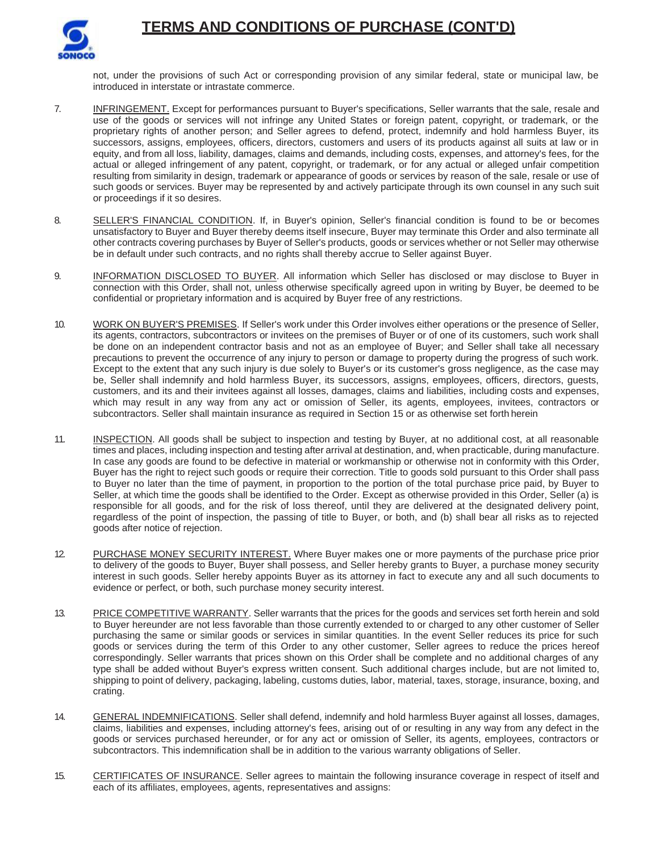

not, under the provisions of such Act or corresponding provision of any similar federal, state or municipal law, be introduced in interstate or intrastate commerce.

- 7. INFRINGEMENT. Except for performances pursuant to Buyer's specifications, Seller warrants that the sale, resale and use of the goods or services will not infringe any United States or foreign patent, copyright, or trademark, or the proprietary rights of another person; and Seller agrees to defend, protect, indemnify and hold harmless Buyer, its successors, assigns, employees, officers, directors, customers and users of its products against all suits at law or in equity, and from all loss, liability, damages, claims and demands, including costs, expenses, and attorney's fees, for the actual or alleged infringement of any patent, copyright, or trademark, or for any actual or alleged unfair competition resulting from similarity in design, trademark or appearance of goods or services by reason of the sale, resale or use of such goods or services. Buyer may be represented by and actively participate through its own counsel in any such suit or proceedings if it so desires.
- 8. SELLER'S FINANCIAL CONDITION. If, in Buyer's opinion, Seller's financial condition is found to be or becomes unsatisfactory to Buyer and Buyer thereby deems itself insecure, Buyer may terminate this Order and also terminate all other contracts covering purchases by Buyer of Seller's products, goods or services whether or not Seller may otherwise be in default under such contracts, and no rights shall thereby accrue to Seller against Buyer.
- 9. INFORMATION DISCLOSED TO BUYER. All information which Seller has disclosed or may disclose to Buyer in connection with this Order, shall not, unless otherwise specifically agreed upon in writing by Buyer, be deemed to be confidential or proprietary information and is acquired by Buyer free of any restrictions.
- 10. WORK ON BUYER'S PREMISES. If Seller's work under this Order involves either operations or the presence of Seller, its agents, contractors, subcontractors or invitees on the premises of Buyer or of one of its customers, such work shall be done on an independent contractor basis and not as an employee of Buyer; and Seller shall take all necessary precautions to prevent the occurrence of any injury to person or damage to property during the progress of such work. Except to the extent that any such injury is due solely to Buyer's or its customer's gross negligence, as the case may be, Seller shall indemnify and hold harmless Buyer, its successors, assigns, employees, officers, directors, guests, customers, and its and their invitees against all losses, damages, claims and liabilities, including costs and expenses, which may result in any way from any act or omission of Seller, its agents, employees, invitees, contractors or subcontractors. Seller shall maintain insurance as required in Section 15 or as otherwise set forth herein
- 11. INSPECTION. All goods shall be subject to inspection and testing by Buyer, at no additional cost, at all reasonable times and places, including inspection and testing after arrival at destination, and, when practicable, during manufacture. In case any goods are found to be defective in material or workmanship or otherwise not in conformity with this Order, Buyer has the right to reject such goods or require their correction. Title to goods sold pursuant to this Order shall pass to Buyer no later than the time of payment, in proportion to the portion of the total purchase price paid, by Buyer to Seller, at which time the goods shall be identified to the Order. Except as otherwise provided in this Order, Seller (a) is responsible for all goods, and for the risk of loss thereof, until they are delivered at the designated delivery point, regardless of the point of inspection, the passing of title to Buyer, or both, and (b) shall bear all risks as to rejected goods after notice of rejection.
- 12. PURCHASE MONEY SECURITY INTEREST. Where Buyer makes one or more payments of the purchase price prior to delivery of the goods to Buyer, Buyer shall possess, and Seller hereby grants to Buyer, a purchase money security interest in such goods. Seller hereby appoints Buyer as its attorney in fact to execute any and all such documents to evidence or perfect, or both, such purchase money security interest.
- 13. PRICE COMPETITIVE WARRANTY. Seller warrants that the prices for the goods and services set forth herein and sold to Buyer hereunder are not less favorable than those currently extended to or charged to any other customer of Seller purchasing the same or similar goods or services in similar quantities. In the event Seller reduces its price for such goods or services during the term of this Order to any other customer, Seller agrees to reduce the prices hereof correspondingly. Seller warrants that prices shown on this Order shall be complete and no additional charges of any type shall be added without Buyer's express written consent. Such additional charges include, but are not limited to, shipping to point of delivery, packaging, labeling, customs duties, labor, material, taxes, storage, insurance, boxing, and crating.
- 14. GENERAL INDEMNIFICATIONS. Seller shall defend, indemnify and hold harmless Buyer against all losses, damages, claims, liabilities and expenses, including attorney's fees, arising out of or resulting in any way from any defect in the goods or services purchased hereunder, or for any act or omission of Seller, its agents, employees, contractors or subcontractors. This indemnification shall be in addition to the various warranty obligations of Seller.
- 15. CERTIFICATES OF INSURANCE. Seller agrees to maintain the following insurance coverage in respect of itself and each of its affiliates, employees, agents, representatives and assigns: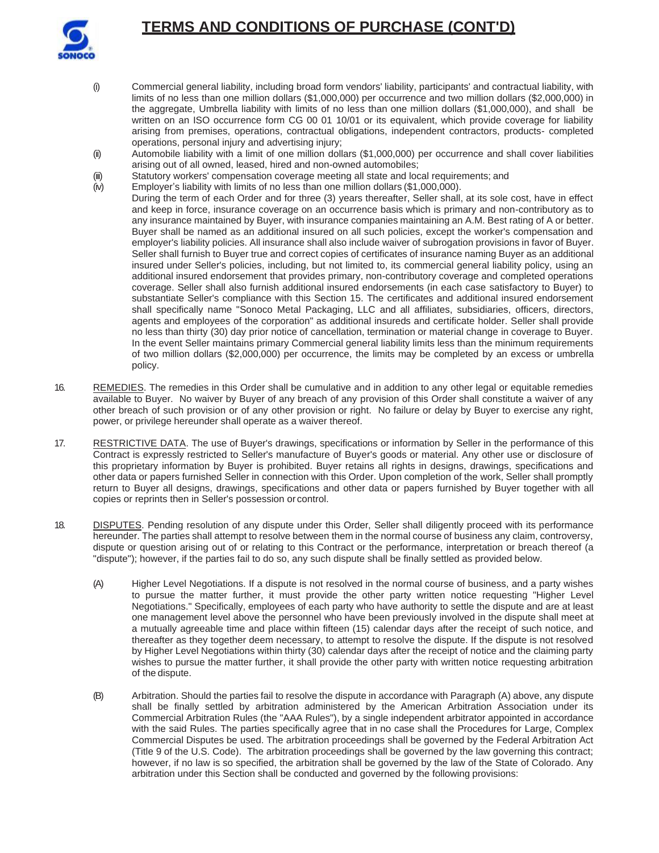

- (i) Commercial general liability, including broad form vendors' liability, participants' and contractual liability, with limits of no less than one million dollars (\$1,000,000) per occurrence and two million dollars (\$2,000,000) in the aggregate, Umbrella liability with limits of no less than one million dollars (\$1,000,000), and shall be written on an ISO occurrence form CG 00 01 10/01 or its equivalent, which provide coverage for liability arising from premises, operations, contractual obligations, independent contractors, products- completed operations, personal injury and advertising injury;
- (ii) Automobile liability with a limit of one million dollars (\$1,000,000) per occurrence and shall cover liabilities arising out of all owned, leased, hired and non-owned automobiles;
- (iii) Statutory workers' compensation coverage meeting all state and local requirements; and
- (iv) Employer's liability with limits of no less than one million dollars (\$1,000,000).
- During the term of each Order and for three (3) years thereafter, Seller shall, at its sole cost, have in effect and keep in force, insurance coverage on an occurrence basis which is primary and non-contributory as to any insurance maintained by Buyer, with insurance companies maintaining an A.M. Best rating of A or better. Buyer shall be named as an additional insured on all such policies, except the worker's compensation and employer's liability policies. All insurance shall also include waiver of subrogation provisions in favor of Buyer. Seller shall furnish to Buyer true and correct copies of certificates of insurance naming Buyer as an additional insured under Seller's policies, including, but not limited to, its commercial general liability policy, using an additional insured endorsement that provides primary, non-contributory coverage and completed operations coverage. Seller shall also furnish additional insured endorsements (in each case satisfactory to Buyer) to substantiate Seller's compliance with this Section 15. The certificates and additional insured endorsement shall specifically name "Sonoco Metal Packaging, LLC and all affiliates, subsidiaries, officers, directors, agents and employees of the corporation" as additional insureds and certificate holder. Seller shall provide no less than thirty (30) day prior notice of cancellation, termination or material change in coverage to Buyer. In the event Seller maintains primary Commercial general liability limits less than the minimum requirements of two million dollars (\$2,000,000) per occurrence, the limits may be completed by an excess or umbrella policy.
- 16. REMEDIES. The remedies in this Order shall be cumulative and in addition to any other legal or equitable remedies available to Buyer. No waiver by Buyer of any breach of any provision of this Order shall constitute a waiver of any other breach of such provision or of any other provision or right. No failure or delay by Buyer to exercise any right, power, or privilege hereunder shall operate as a waiver thereof.
- 17. RESTRICTIVE DATA. The use of Buyer's drawings, specifications or information by Seller in the performance of this Contract is expressly restricted to Seller's manufacture of Buyer's goods or material. Any other use or disclosure of this proprietary information by Buyer is prohibited. Buyer retains all rights in designs, drawings, specifications and other data or papers furnished Seller in connection with this Order. Upon completion of the work, Seller shall promptly return to Buyer all designs, drawings, specifications and other data or papers furnished by Buyer together with all copies or reprints then in Seller's possession or control.
- 18. DISPUTES. Pending resolution of any dispute under this Order, Seller shall diligently proceed with its performance hereunder. The parties shall attempt to resolve between them in the normal course of business any claim, controversy, dispute or question arising out of or relating to this Contract or the performance, interpretation or breach thereof (a "dispute"); however, if the parties fail to do so, any such dispute shall be finally settled as provided below.
	- (A) Higher Level Negotiations. If a dispute is not resolved in the normal course of business, and a party wishes to pursue the matter further, it must provide the other party written notice requesting "Higher Level Negotiations." Specifically, employees of each party who have authority to settle the dispute and are at least one management level above the personnel who have been previously involved in the dispute shall meet at a mutually agreeable time and place within fifteen (15) calendar days after the receipt of such notice, and thereafter as they together deem necessary, to attempt to resolve the dispute. If the dispute is not resolved by Higher Level Negotiations within thirty (30) calendar days after the receipt of notice and the claiming party wishes to pursue the matter further, it shall provide the other party with written notice requesting arbitration of the dispute.
	- (B) Arbitration. Should the parties fail to resolve the dispute in accordance with Paragraph (A) above, any dispute shall be finally settled by arbitration administered by the American Arbitration Association under its Commercial Arbitration Rules (the "AAA Rules"), by a single independent arbitrator appointed in accordance with the said Rules. The parties specifically agree that in no case shall the Procedures for Large, Complex Commercial Disputes be used. The arbitration proceedings shall be governed by the Federal Arbitration Act (Title 9 of the U.S. Code). The arbitration proceedings shall be governed by the law governing this contract; however, if no law is so specified, the arbitration shall be governed by the law of the State of Colorado. Any arbitration under this Section shall be conducted and governed by the following provisions: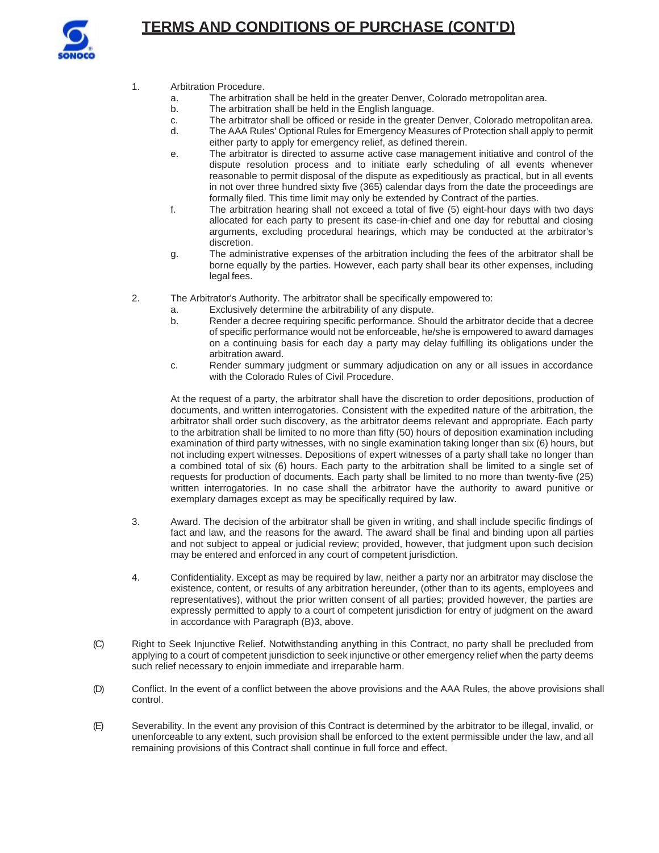

- 1. Arbitration Procedure.
	- a. The arbitration shall be held in the greater Denver, Colorado metropolitan area.
	- b. The arbitration shall be held in the English language.
	- c. The arbitrator shall be officed or reside in the greater Denver, Colorado metropolitan area.<br>d. The AAA Rules' Optional Rules for Emergency Measures of Protection shall apply to permit
	- The AAA Rules' Optional Rules for Emergency Measures of Protection shall apply to permit either party to apply for emergency relief, as defined therein.
	- e. The arbitrator is directed to assume active case management initiative and control of the dispute resolution process and to initiate early scheduling of all events whenever reasonable to permit disposal of the dispute as expeditiously as practical, but in all events in not over three hundred sixty five (365) calendar days from the date the proceedings are formally filed. This time limit may only be extended by Contract of the parties.
	- f. The arbitration hearing shall not exceed a total of five (5) eight-hour days with two days allocated for each party to present its case-in-chief and one day for rebuttal and closing arguments, excluding procedural hearings, which may be conducted at the arbitrator's discretion.
	- g. The administrative expenses of the arbitration including the fees of the arbitrator shall be borne equally by the parties. However, each party shall bear its other expenses, including legal fees.
- 2. The Arbitrator's Authority. The arbitrator shall be specifically empowered to:
	- a. Exclusively determine the arbitrability of any dispute.
	- b. Render a decree requiring specific performance. Should the arbitrator decide that a decree of specific performance would not be enforceable, he/she is empowered to award damages on a continuing basis for each day a party may delay fulfilling its obligations under the arbitration award.
	- c. Render summary judgment or summary adjudication on any or all issues in accordance with the Colorado Rules of Civil Procedure.

At the request of a party, the arbitrator shall have the discretion to order depositions, production of documents, and written interrogatories. Consistent with the expedited nature of the arbitration, the arbitrator shall order such discovery, as the arbitrator deems relevant and appropriate. Each party to the arbitration shall be limited to no more than fifty (50) hours of deposition examination including examination of third party witnesses, with no single examination taking longer than six (6) hours, but not including expert witnesses. Depositions of expert witnesses of a party shall take no longer than a combined total of six (6) hours. Each party to the arbitration shall be limited to a single set of requests for production of documents. Each party shall be limited to no more than twenty-five (25) written interrogatories. In no case shall the arbitrator have the authority to award punitive or exemplary damages except as may be specifically required by law.

- 3. Award. The decision of the arbitrator shall be given in writing, and shall include specific findings of fact and law, and the reasons for the award. The award shall be final and binding upon all parties and not subject to appeal or judicial review; provided, however, that judgment upon such decision may be entered and enforced in any court of competent jurisdiction.
- 4. Confidentiality. Except as may be required by law, neither a party nor an arbitrator may disclose the existence, content, or results of any arbitration hereunder, (other than to its agents, employees and representatives), without the prior written consent of all parties; provided however, the parties are expressly permitted to apply to a court of competent jurisdiction for entry of judgment on the award in accordance with Paragraph (B)3, above.
- (C) Right to Seek Injunctive Relief. Notwithstanding anything in this Contract, no party shall be precluded from applying to a court of competent jurisdiction to seek injunctive or other emergency relief when the party deems such relief necessary to enjoin immediate and irreparable harm.
- (D) Conflict. In the event of a conflict between the above provisions and the AAA Rules, the above provisions shall control.
- (E) Severability. In the event any provision of this Contract is determined by the arbitrator to be illegal, invalid, or unenforceable to any extent, such provision shall be enforced to the extent permissible under the law, and all remaining provisions of this Contract shall continue in full force and effect.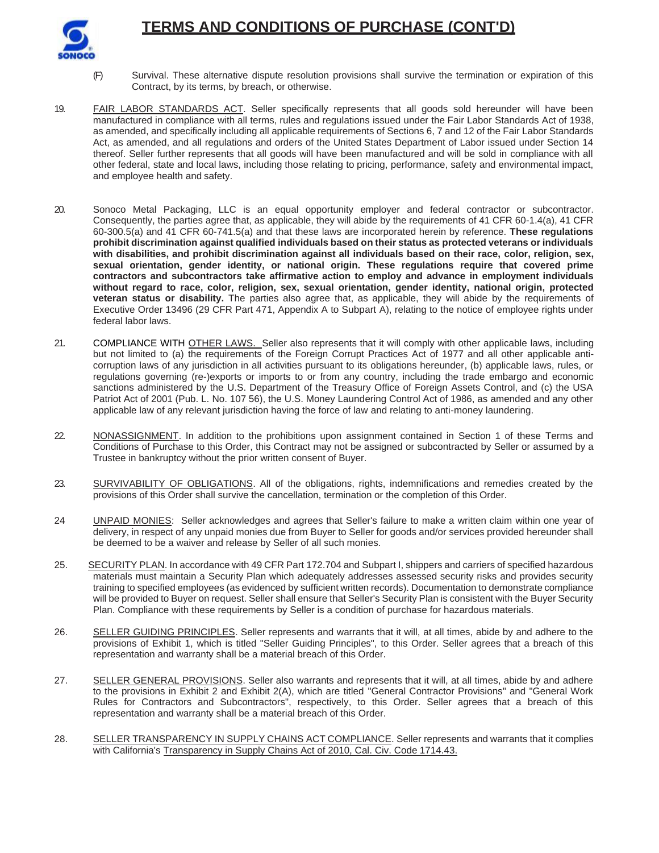

- (F) Survival. These alternative dispute resolution provisions shall survive the termination or expiration of this Contract, by its terms, by breach, or otherwise.
- 19. FAIR LABOR STANDARDS ACT. Seller specifically represents that all goods sold hereunder will have been manufactured in compliance with all terms, rules and regulations issued under the Fair Labor Standards Act of 1938, as amended, and specifically including all applicable requirements of Sections 6, 7 and 12 of the Fair Labor Standards Act, as amended, and all regulations and orders of the United States Department of Labor issued under Section 14 thereof. Seller further represents that all goods will have been manufactured and will be sold in compliance with all other federal, state and local laws, including those relating to pricing, performance, safety and environmental impact, and employee health and safety.
- 20. Sonoco Metal Packaging, LLC is an equal opportunity employer and federal contractor or subcontractor. Consequently, the parties agree that, as applicable, they will abide by the requirements of 41 CFR 60-1.4(a), 41 CFR 60-300.5(a) and 41 CFR 60-741.5(a) and that these laws are incorporated herein by reference. **These regulations prohibit discrimination against qualified individuals based on their status as protected veterans or individuals with disabilities, and prohibit discrimination against all individuals based on their race, color, religion, sex, sexual orientation, gender identity, or national origin. These regulations require that covered prime contractors and subcontractors take affirmative action to employ and advance in employment individuals without regard to race, color, religion, sex, sexual orientation, gender identity, national origin, protected veteran status or disability.** The parties also agree that, as applicable, they will abide by the requirements of Executive Order 13496 (29 CFR Part 471, Appendix A to Subpart A), relating to the notice of employee rights under federal labor laws.
- 21. COMPLIANCE WITH OTHER LAWS. Seller also represents that it will comply with other applicable laws, including but not limited to (a) the requirements of the Foreign Corrupt Practices Act of 1977 and all other applicable anticorruption laws of any jurisdiction in all activities pursuant to its obligations hereunder, (b) applicable laws, rules, or regulations governing (re-)exports or imports to or from any country, including the trade embargo and economic sanctions administered by the U.S. Department of the Treasury Office of Foreign Assets Control, and (c) the USA Patriot Act of 2001 (Pub. L. No. 107 56), the U.S. Money Laundering Control Act of 1986, as amended and any other applicable law of any relevant jurisdiction having the force of law and relating to anti-money laundering.
- 22. NONASSIGNMENT. In addition to the prohibitions upon assignment contained in Section 1 of these Terms and Conditions of Purchase to this Order, this Contract may not be assigned or subcontracted by Seller or assumed by a Trustee in bankruptcy without the prior written consent of Buyer.
- 23. SURVIVABILITY OF OBLIGATIONS. All of the obligations, rights, indemnifications and remedies created by the provisions of this Order shall survive the cancellation, termination or the completion of this Order.
- 24 UNPAID MONIES: Seller acknowledges and agrees that Seller's failure to make a written claim within one year of delivery, in respect of any unpaid monies due from Buyer to Seller for goods and/or services provided hereunder shall be deemed to be a waiver and release by Seller of all such monies.
- 25. SECURITY PLAN. In accordance with 49 CFR Part 172.704 and Subpart I, shippers and carriers of specified hazardous materials must maintain a Security Plan which adequately addresses assessed security risks and provides security training to specified employees (as evidenced by sufficient written records). Documentation to demonstrate compliance will be provided to Buyer on request. Seller shall ensure that Seller's Security Plan is consistent with the Buyer Security Plan. Compliance with these requirements by Seller is a condition of purchase for hazardous materials.
- 26. SELLER GUIDING PRINCIPLES. Seller represents and warrants that it will, at all times, abide by and adhere to the provisions of Exhibit 1, which is titled "Seller Guiding Principles", to this Order. Seller agrees that a breach of this representation and warranty shall be a material breach of this Order.
- 27. SELLER GENERAL PROVISIONS. Seller also warrants and represents that it will, at all times, abide by and adhere to the provisions in Exhibit 2 and Exhibit 2(A), which are titled "General Contractor Provisions" and "General Work Rules for Contractors and Subcontractors", respectively, to this Order. Seller agrees that a breach of this representation and warranty shall be a material breach of this Order.
- 28. SELLER TRANSPARENCY IN SUPPLY CHAINS ACT COMPLIANCE. Seller represents and warrants that it complies with California's Transparency in Supply Chains Act of 2010, Cal. Civ. Code 1714.43.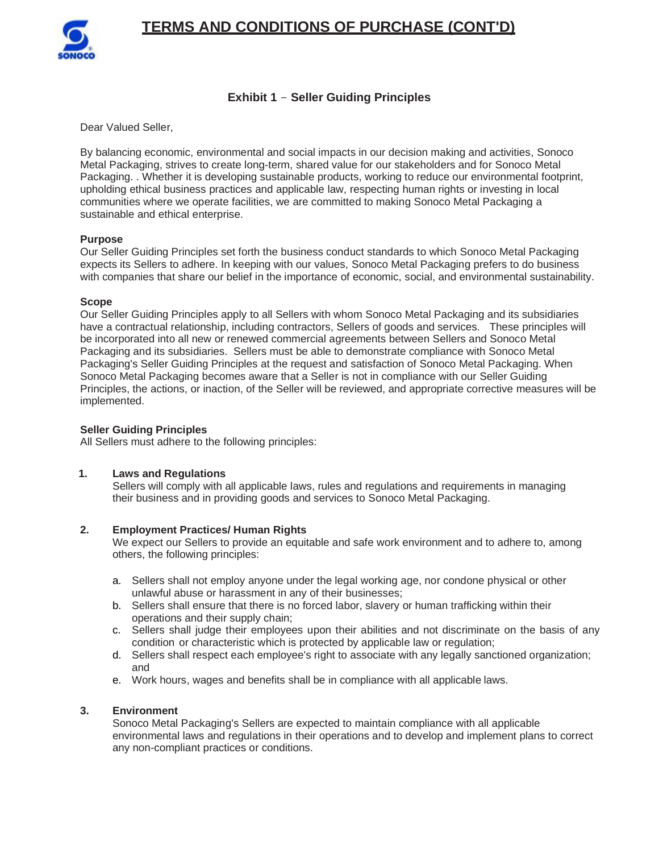

## **Exhibit 1** - **Seller Guiding Principles**

Dear Valued Seller,

By balancing economic, environmental and social impacts in our decision making and activities, Sonoco Metal Packaging, strives to create long-term, shared value for our stakeholders and for Sonoco Metal Packaging. . Whether it is developing sustainable products, working to reduce our environmental footprint, upholding ethical business practices and applicable law, respecting human rights or investing in local communities where we operate facilities, we are committed to making Sonoco Metal Packaging a sustainable and ethical enterprise.

### **Purpose**

Our Seller Guiding Principles set forth the business conduct standards to which Sonoco Metal Packaging expects its Sellers to adhere. In keeping with our values, Sonoco Metal Packaging prefers to do business with companies that share our belief in the importance of economic, social, and environmental sustainability.

### **Scope**

Our Seller Guiding Principles apply to all Sellers with whom Sonoco Metal Packaging and its subsidiaries have a contractual relationship, including contractors, Sellers of goods and services. These principles will be incorporated into all new or renewed commercial agreements between Sellers and Sonoco Metal Packaging and its subsidiaries. Sellers must be able to demonstrate compliance with Sonoco Metal Packaging's Seller Guiding Principles at the request and satisfaction of Sonoco Metal Packaging. When Sonoco Metal Packaging becomes aware that a Seller is not in compliance with our Seller Guiding Principles, the actions, or inaction, of the Seller will be reviewed, and appropriate corrective measures will be implemented.

### **Seller Guiding Principles**

All Sellers must adhere to the following principles:

## **1. Laws and Regulations**

Sellers will comply with all applicable laws, rules and regulations and requirements in managing their business and in providing goods and services to Sonoco Metal Packaging.

## **2. Employment Practices/ Human Rights**

We expect our Sellers to provide an equitable and safe work environment and to adhere to, among others, the following principles:

- a. Sellers shall not employ anyone under the legal working age, nor condone physical or other unlawful abuse or harassment in any of their businesses;
- b. Sellers shall ensure that there is no forced labor, slavery or human trafficking within their operations and their supply chain;
- c. Sellers shall judge their employees upon their abilities and not discriminate on the basis of any condition or characteristic which is protected by applicable law or regulation;
- d. Sellers shall respect each employee's right to associate with any legally sanctioned organization; and
- e. Work hours, wages and benefits shall be in compliance with all applicable laws.

### **3. Environment**

Sonoco Metal Packaging's Sellers are expected to maintain compliance with all applicable environmental laws and regulations in their operations and to develop and implement plans to correct any non-compliant practices or conditions.